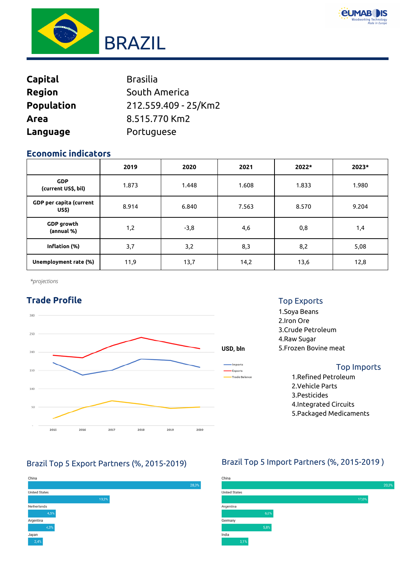



| <b>Capital</b>    | <b>Brasilia</b>      |
|-------------------|----------------------|
| <b>Region</b>     | South America        |
| <b>Population</b> | 212.559.409 - 25/Km2 |
| Area              | 8.515.770 Km2        |
| Language          | Portuguese           |

## **Economic indicators**

|                                         | 2019  | 2020   | 2021  | 2022* | 2023* |
|-----------------------------------------|-------|--------|-------|-------|-------|
| <b>GDP</b><br>(current US\$, bil)       | 1.873 | 1.448  | 1.608 | 1.833 | 1.980 |
| <b>GDP</b> per capita (current<br>US\$) | 8.914 | 6.840  | 7.563 | 8.570 | 9.204 |
| <b>GDP</b> growth<br>(annual %)         | 1,2   | $-3,8$ | 4,6   | 0,8   | 1,4   |
| Inflation (%)                           | 3,7   | 3,2    | 8,3   | 8,2   | 5,08  |
| Unemployment rate (%)                   | 11,9  | 13,7   | 14,2  | 13,6  | 12,8  |

*\*projections*

# **Trade Profile**



## Top Exports

1.Soya Beans 2.Iron Ore 3.Crude Petroleum 4.Raw Sugar 5.Frozen Bovine meat

### Top Imports

1.Refined Petroleum 2.Vehicle Parts 3.Pesticides 4.Integrated Circuits 5.Packaged Medicaments



## Brazil Top 5 Export Partners (%, 2015-2019) Brazil Top 5 Import Partners (%, 2015-2019 )

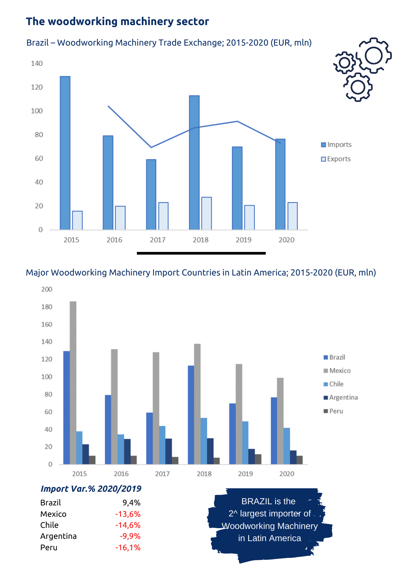# **The woodworking machinery sector**

## Brazil – Woodworking Machinery Trade Exchange; 2015-2020 (EUR, mln)



## Major Woodworking Machinery Import Countries in Latin America; 2015-2020 (EUR, mln)



Brazil Mexico Chile Argentina Peru 9,4% -13,6% -14,6% -9,9% -16,1%

BRAZIL is the 2<sup>^</sup> largest importer of. Woodworking Machinery in Latin America